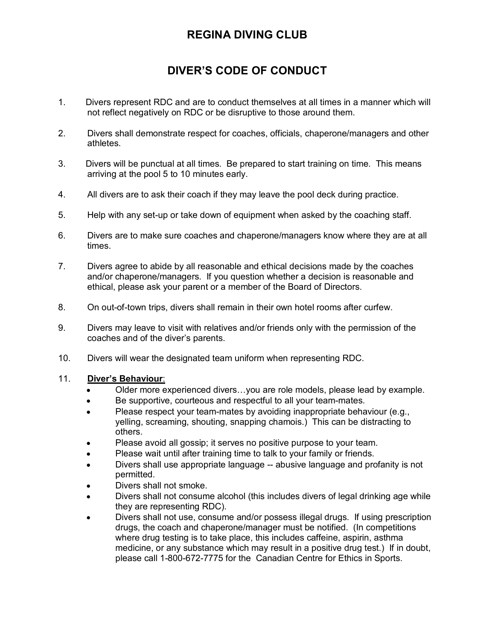# **REGINA DIVING CLUB**

# **DIVER'S CODE OF CONDUCT**

- 1. Divers represent RDC and are to conduct themselves at all times in a manner which will not reflect negatively on RDC or be disruptive to those around them.
- 2. Divers shall demonstrate respect for coaches, officials, chaperone/managers and other athletes.
- 3. Divers will be punctual at all times. Be prepared to start training on time. This means arriving at the pool 5 to 10 minutes early.
- 4. All divers are to ask their coach if they may leave the pool deck during practice.
- 5. Help with any set-up or take down of equipment when asked by the coaching staff.
- 6. Divers are to make sure coaches and chaperone/managers know where they are at all times.
- 7. Divers agree to abide by all reasonable and ethical decisions made by the coaches and/or chaperone/managers. If you question whether a decision is reasonable and ethical, please ask your parent or a member of the Board of Directors.
- 8. On out-of-town trips, divers shall remain in their own hotel rooms after curfew.
- 9. Divers may leave to visit with relatives and/or friends only with the permission of the coaches and of the diver's parents.
- 10. Divers will wear the designated team uniform when representing RDC.

### 11. **Diver's Behaviour**:

- Older more experienced divers…you are role models, please lead by example.
- Be supportive, courteous and respectful to all your team-mates.
- Please respect your team-mates by avoiding inappropriate behaviour (e.g., yelling, screaming, shouting, snapping chamois.) This can be distracting to others.
- Please avoid all gossip; it serves no positive purpose to your team.
- Please wait until after training time to talk to your family or friends.
- Divers shall use appropriate language -- abusive language and profanity is not permitted.
- Divers shall not smoke.
- Divers shall not consume alcohol (this includes divers of legal drinking age while they are representing RDC).
- Divers shall not use, consume and/or possess illegal drugs. If using prescription drugs, the coach and chaperone/manager must be notified. (In competitions where drug testing is to take place, this includes caffeine, aspirin, asthma medicine, or any substance which may result in a positive drug test.) If in doubt, please call 1-800-672-7775 for the Canadian Centre for Ethics in Sports.